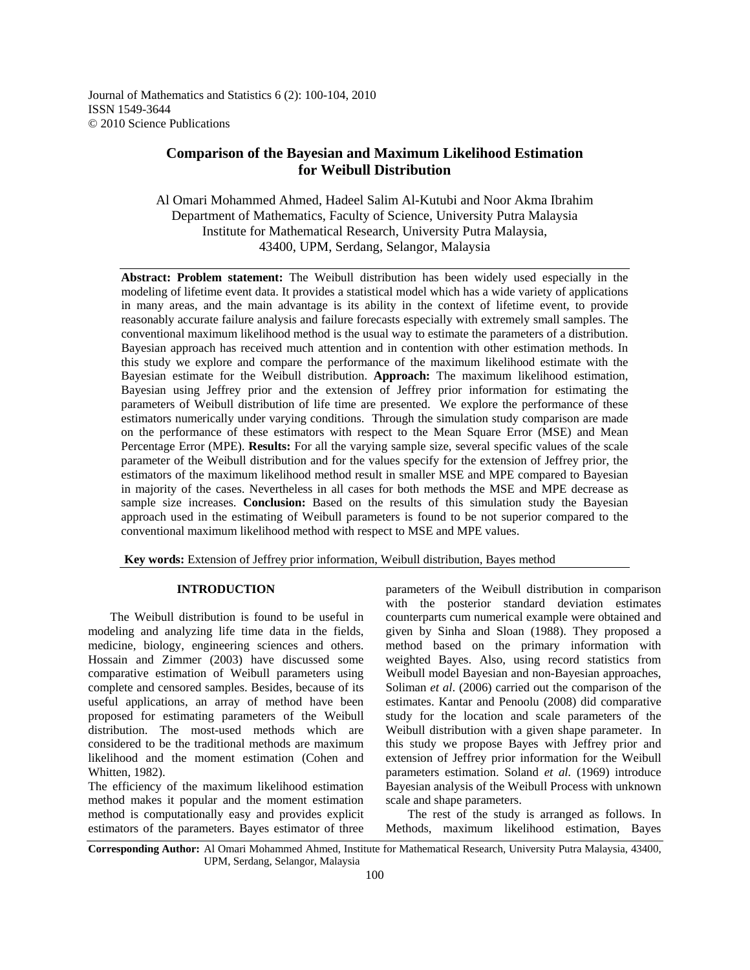Journal of Mathematics and Statistics 6 (2): 100-104, 2010 ISSN 1549-3644 © 2010 Science Publications

# **Comparison of the Bayesian and Maximum Likelihood Estimation for Weibull Distribution**

Al Omari Mohammed Ahmed, Hadeel Salim Al-Kutubi and Noor Akma Ibrahim Department of Mathematics, Faculty of Science, University Putra Malaysia Institute for Mathematical Research, University Putra Malaysia, 43400, UPM, Serdang, Selangor, Malaysia

**Abstract: Problem statement:** The Weibull distribution has been widely used especially in the modeling of lifetime event data. It provides a statistical model which has a wide variety of applications in many areas, and the main advantage is its ability in the context of lifetime event, to provide reasonably accurate failure analysis and failure forecasts especially with extremely small samples. The conventional maximum likelihood method is the usual way to estimate the parameters of a distribution. Bayesian approach has received much attention and in contention with other estimation methods. In this study we explore and compare the performance of the maximum likelihood estimate with the Bayesian estimate for the Weibull distribution. **Approach:** The maximum likelihood estimation, Bayesian using Jeffrey prior and the extension of Jeffrey prior information for estimating the parameters of Weibull distribution of life time are presented. We explore the performance of these estimators numerically under varying conditions. Through the simulation study comparison are made on the performance of these estimators with respect to the Mean Square Error (MSE) and Mean Percentage Error (MPE). **Results:** For all the varying sample size, several specific values of the scale parameter of the Weibull distribution and for the values specify for the extension of Jeffrey prior, the estimators of the maximum likelihood method result in smaller MSE and MPE compared to Bayesian in majority of the cases. Nevertheless in all cases for both methods the MSE and MPE decrease as sample size increases. **Conclusion:** Based on the results of this simulation study the Bayesian approach used in the estimating of Weibull parameters is found to be not superior compared to the conventional maximum likelihood method with respect to MSE and MPE values.

 **Key words:** Extension of Jeffrey prior information, Weibull distribution, Bayes method

## **INTRODUCTION**

 The Weibull distribution is found to be useful in modeling and analyzing life time data in the fields, medicine, biology, engineering sciences and others. Hossain and Zimmer (2003) have discussed some comparative estimation of Weibull parameters using complete and censored samples. Besides, because of its useful applications, an array of method have been proposed for estimating parameters of the Weibull distribution. The most-used methods which are considered to be the traditional methods are maximum likelihood and the moment estimation (Cohen and Whitten, 1982).

The efficiency of the maximum likelihood estimation method makes it popular and the moment estimation method is computationally easy and provides explicit estimators of the parameters. Bayes estimator of three

parameters of the Weibull distribution in comparison with the posterior standard deviation estimates counterparts cum numerical example were obtained and given by Sinha and Sloan (1988). They proposed a method based on the primary information with weighted Bayes. Also, using record statistics from Weibull model Bayesian and non-Bayesian approaches, Soliman *et al*. (2006) carried out the comparison of the estimates. Kantar and Penoolu (2008) did comparative study for the location and scale parameters of the Weibull distribution with a given shape parameter. In this study we propose Bayes with Jeffrey prior and extension of Jeffrey prior information for the Weibull parameters estimation. Soland *et al.* (1969) introduce Bayesian analysis of the Weibull Process with unknown scale and shape parameters.

 The rest of the study is arranged as follows. In Methods, maximum likelihood estimation, Bayes

**Corresponding Author:** Al Omari Mohammed Ahmed, Institute for Mathematical Research, University Putra Malaysia, 43400, UPM, Serdang, Selangor, Malaysia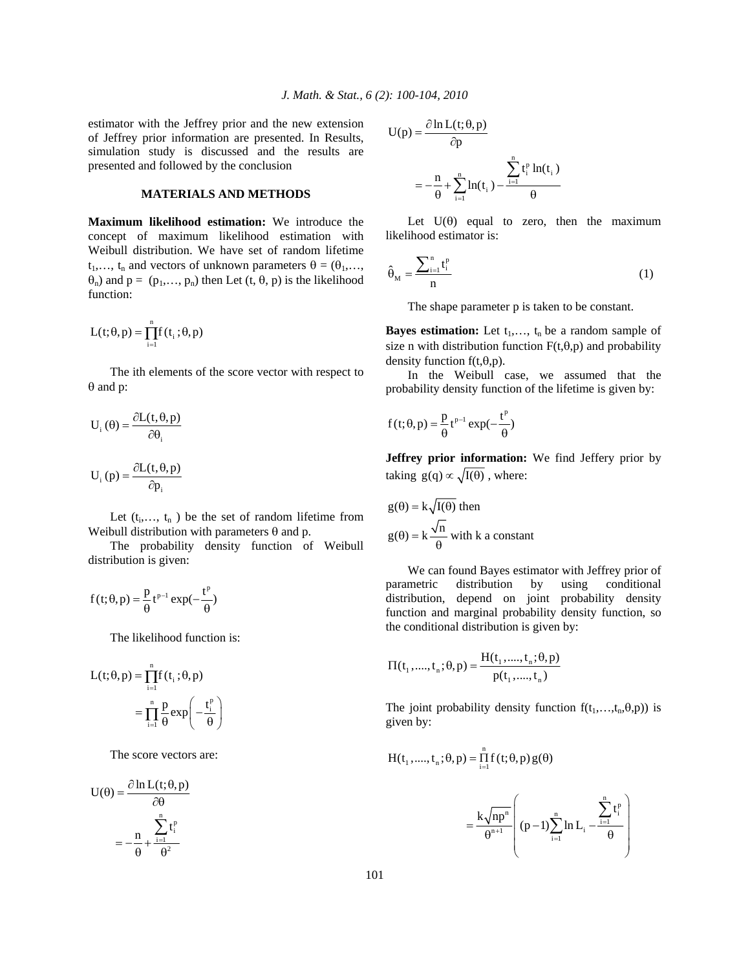estimator with the Jeffrey prior and the new extension of Jeffrey prior information are presented. In Results, simulation study is discussed and the results are presented and followed by the conclusion

# **MATERIALS AND METHODS**

**Maximum likelihood estimation:** We introduce the concept of maximum likelihood estimation with Weibull distribution. We have set of random lifetime  $t_1,..., t_n$  and vectors of unknown parameters  $\theta = (\theta_1,..., \theta_n)$  $\theta_n$ ) and  $p = (p_1, \ldots, p_n)$  then Let  $(t, \theta, p)$  is the likelihood function:

$$
L(t; \theta, p) = \prod_{i=1}^{n} f(t_i; \theta, p)
$$

 The ith elements of the score vector with respect to  $\theta$  and p:

$$
U_{i}(\theta) = \frac{\partial L(t, \theta, p)}{\partial \theta_{i}}
$$

$$
U_{i}(p) = \frac{\partial L(t, \theta, p)}{\partial p_{i}}
$$

Let  $(t_i,..., t_n)$  be the set of random lifetime from Weibull distribution with parameters  $\theta$  and p.

 The probability density function of Weibull distribution is given:

$$
f(t; \theta, p) = \frac{p}{\theta} t^{p-1} \exp(-\frac{t^p}{\theta})
$$

The likelihood function is:

$$
L(t; \theta, p) = \prod_{i=1}^{n} f(t_i; \theta, p)
$$
  
= 
$$
\prod_{i=1}^{n} \frac{p}{\theta} \exp\left(-\frac{t_i^p}{\theta}\right)
$$

The score vectors are:

$$
U(\theta) = \frac{\partial \ln L(t; \theta, p)}{\partial \theta}
$$

$$
= -\frac{n}{\theta} + \frac{\sum_{i=1}^{n} t_i^p}{\theta^2}
$$

$$
U(p) = \frac{\partial \ln L(t; \theta, p)}{\partial p}
$$
  
=  $-\frac{n}{\theta} + \sum_{i=1}^{n} \ln(t_i) - \frac{\sum_{i=1}^{n} t_i^p \ln(t_i)}{\theta}$ 

Let  $U(\theta)$  equal to zero, then the maximum likelihood estimator is:

$$
\hat{\theta}_M = \frac{\sum_{i=1}^n t_i^p}{n} \tag{1}
$$

The shape parameter p is taken to be constant.

**Bayes estimation:** Let  $t_1, \ldots, t_n$  be a random sample of size n with distribution function  $F(t,\theta,p)$  and probability density function  $f(t,\theta,p)$ .

 In the Weibull case, we assumed that the probability density function of the lifetime is given by:

$$
f(t; \theta, p) = \frac{p}{\theta} t^{p-1} \exp(-\frac{t^p}{\theta})
$$

**Jeffrey prior information:** We find Jeffery prior by taking  $g(q) \propto \sqrt{I(\theta)}$ , where:

$$
g(\theta) = k\sqrt{I(\theta)}
$$
 then  

$$
g(\theta) = k\frac{\sqrt{n}}{\theta}
$$
 with k a constant

 We can found Bayes estimator with Jeffrey prior of parametric distribution by using conditional distribution, depend on joint probability density function and marginal probability density function, so the conditional distribution is given by:

$$
\Pi(t_1, ..., t_n; \theta, p) = \frac{H(t_1, ..., t_n; \theta, p)}{p(t_1, ..., t_n)}
$$

The joint probability density function  $f(t_1,...,t_n,\theta,p)$  is given by:

$$
H(t_1, \ldots, t_n; \theta, p) = \prod_{i=1} f(t; \theta, p) g(\theta)
$$

n

$$
= \frac{k\sqrt{np^n}}{\theta^{n+1}} \left( (p-1)\sum_{i=1}^n \ln L_i - \frac{\sum_{i=1}^n t_i^p}{\theta} \right)
$$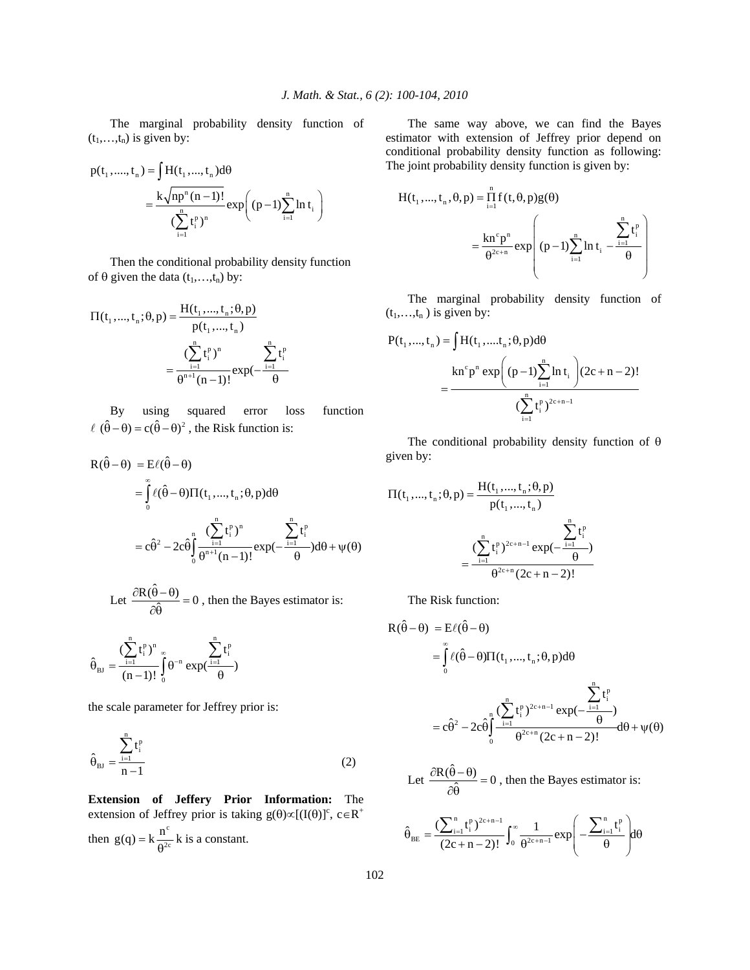The marginal probability density function of  $(t_1,...,t_n)$  is given by:

$$
p(t_1, ..., t_n) = \int H(t_1, ..., t_n) d\theta
$$
  
= 
$$
\frac{k \sqrt{np^n (n-1)!}}{\sum_{i=1}^n t_i^p)^n} exp((p-1) \sum_{i=1}^n \ln t_i)
$$

 Then the conditional probability density function of  $\theta$  given the data  $(t_1,...,t_n)$  by:

$$
\Pi(t_1, ..., t_n; \theta, p) = \frac{H(t_1, ..., t_n; \theta, p)}{p(t_1, ..., t_n)}
$$

$$
= \frac{\left(\sum_{i=1}^n t_i^p\right)^n}{\theta^{n+1}(n-1)!} \exp\left(-\frac{\sum_{i=1}^n t_i^p}{\theta}\right)
$$

 By using squared error loss function  $\ell$   $(\hat{\theta} - \theta) = c(\hat{\theta} - \theta)^2$ , the Risk function is:

$$
R(\hat{\theta} - \theta) = E\ell(\hat{\theta} - \theta)
$$
  
= 
$$
\int_{0}^{\infty} \ell(\hat{\theta} - \theta) \Pi(t_1, ..., t_n; \theta, p) d\theta
$$
  
= 
$$
c\hat{\theta}^2 - 2c\hat{\theta} \int_{0}^{n} \frac{(\sum_{i=1}^{n} t_i^p)^n}{\theta^{n+1} (n-1)!} exp(-\frac{\sum_{i=1}^{n} t_i^p}{\theta}) d\theta + \psi(\theta)
$$

Let  $\frac{\partial R(\hat{\theta} - \theta)}{\partial \hat{\theta}} = 0$ , then the Bayes estimator is:

 $\sum_{\text{BJ}}^n = \frac{\left(\sum_{i=1}^n t_i^p\right)^n}{\left(\frac{1}{n}\right)^n} \exp\left(\frac{1}{n}\right)^n$  $\mathbf{0}$  $(\sum t_i^p)^n$   $\sum t_i^p$  $\hat{\theta}_{\text{BJ}} = \frac{\left(\sum_{i=1}^{t_i^p}\right)^n}{(n-1)!} \int_{0}^{\infty} \theta^{-n} \exp(\frac{i=1}{\theta})$ 

the scale parameter for Jeffrey prior is:

$$
\hat{\theta}_{\text{BJ}} = \frac{\sum_{i=1}^{n} t_i^{\text{P}}}{n-1}
$$
 (2)

**Extension of Jeffery Prior Information:** The extension of Jeffrey prior is taking  $g(\theta) \propto [(I(\theta))]^c$ ,  $c \in R^+$ 

then  $g(q) = k \frac{n^{c}}{2^{r}}$  $g(q) = k \frac{n^{c}}{\theta^{2c}} k$  is a constant.

 The same way above, we can find the Bayes estimator with extension of Jeffrey prior depend on conditional probability density function as following: The joint probability density function is given by:

$$
H(t_1, ..., t_n, \theta, p) = \prod_{i=1}^n f(t, \theta, p)g(\theta)
$$
  
= 
$$
\frac{\operatorname{kn}^c p^n}{\theta^{2c+n}} \exp\left( (p-1) \sum_{i=1}^n \ln t_i - \frac{\sum_{i=1}^n t_i^p}{\theta} \right)
$$

 The marginal probability density function of  $(t_1,...,t_n)$  is given by:

$$
P(t_1, ..., t_n) = \int H(t_1, ..., t_n; \theta, p) d\theta
$$
  
= 
$$
\frac{\text{kn}^c p^n \exp((p-1)\sum_{i=1}^n \ln t_i)(2c+n-2)!}{(\sum_{i=1}^n t_i^p)^{2c+n-1}}
$$

The conditional probability density function of  $\theta$ given by:

$$
\Pi(t_1, ..., t_n; \theta, p) = \frac{H(t_1, ..., t_n; \theta, p)}{p(t_1, ..., t_n)}
$$

$$
= \frac{\left(\sum_{i=1}^n t_i^p\right)^{2c+n-1} \exp\left(-\frac{p}{\theta}\right)}{\theta^{2c+n} (2c+n-2)!}
$$

The Risk function:

$$
R(\hat{\theta} - \theta) = E\ell(\hat{\theta} - \theta)
$$
  
= 
$$
\int_{0}^{\infty} \ell(\hat{\theta} - \theta) \Pi(t_1, ..., t_n; \theta, p) d\theta
$$
  
= 
$$
c\hat{\theta}^2 - 2c\hat{\theta} \int_{0}^{n} \frac{(\sum_{i=1}^{n} t_i^p)^{2c+n-1} \exp(-\frac{\sum_{i=1}^{n} t_i^p}{\theta})}{\theta^{2c+n} (2c+n-2)!} d\theta + \psi(\theta)
$$

Let 
$$
\frac{\partial R(\hat{\theta} - \theta)}{\partial \hat{\theta}} = 0
$$
, then the Bayes estimator is:

$$
\hat{\theta}_{BE} = \frac{\left(\sum_{i=1}^{n} t_i^p\right)^{2c+n-1}}{(2c+n-2)!} \int_0^\infty \frac{1}{\theta^{2c+n-1}} exp\left(-\frac{\sum_{i=1}^{n} t_i^p}{\theta}\right) d\theta
$$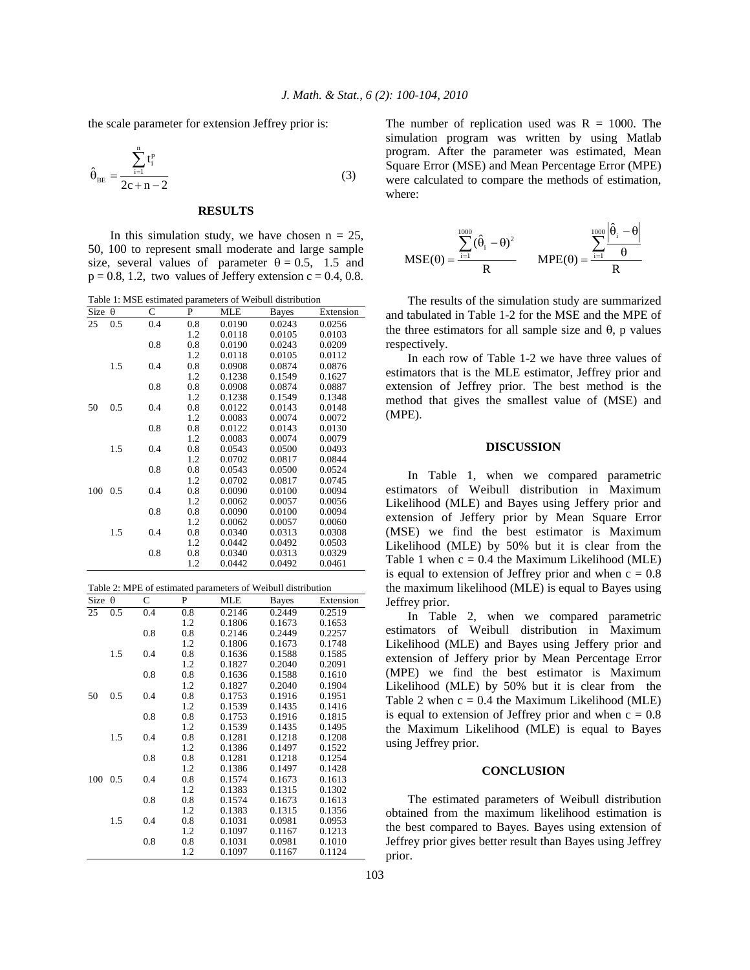the scale parameter for extension Jeffrey prior is:

$$
\hat{\theta}_{BE} = \frac{\sum_{i=1}^{n} t_i^p}{2c + n - 2}
$$
 (3)

#### **RESULTS**

In this simulation study, we have chosen  $n = 25$ , 50, 100 to represent small moderate and large sample size, several values of parameter  $\theta = 0.5$ , 1.5 and  $p = 0.8, 1.2$ , two values of Jeffery extension  $c = 0.4, 0.8$ .

| Table 1: MSE estimated parameters of Weibull distribution |          |              |     |            |        |           |  |  |
|-----------------------------------------------------------|----------|--------------|-----|------------|--------|-----------|--|--|
| Size                                                      | $\theta$ | $\mathsf{C}$ | P   | <b>MLE</b> | Bayes  | Extension |  |  |
| 25                                                        | 0.5      | 0.4          | 0.8 | 0.0190     | 0.0243 | 0.0256    |  |  |
|                                                           |          |              | 1.2 | 0.0118     | 0.0105 | 0.0103    |  |  |
|                                                           |          | 0.8          | 0.8 | 0.0190     | 0.0243 | 0.0209    |  |  |
|                                                           |          |              | 1.2 | 0.0118     | 0.0105 | 0.0112    |  |  |
|                                                           | 1.5      | 0.4          | 0.8 | 0.0908     | 0.0874 | 0.0876    |  |  |
|                                                           |          |              | 1.2 | 0.1238     | 0.1549 | 0.1627    |  |  |
|                                                           |          | 0.8          | 0.8 | 0.0908     | 0.0874 | 0.0887    |  |  |
|                                                           |          |              | 1.2 | 0.1238     | 0.1549 | 0.1348    |  |  |
| 50                                                        | 0.5      | 0.4          | 0.8 | 0.0122     | 0.0143 | 0.0148    |  |  |
|                                                           |          |              | 1.2 | 0.0083     | 0.0074 | 0.0072    |  |  |
|                                                           |          | 0.8          | 0.8 | 0.0122     | 0.0143 | 0.0130    |  |  |
|                                                           |          |              | 1.2 | 0.0083     | 0.0074 | 0.0079    |  |  |
|                                                           | 1.5      | 0.4          | 0.8 | 0.0543     | 0.0500 | 0.0493    |  |  |
|                                                           |          |              | 1.2 | 0.0702     | 0.0817 | 0.0844    |  |  |
|                                                           |          | 0.8          | 0.8 | 0.0543     | 0.0500 | 0.0524    |  |  |
|                                                           |          |              | 1.2 | 0.0702     | 0.0817 | 0.0745    |  |  |
| 100 0.5                                                   |          | 0.4          | 0.8 | 0.0090     | 0.0100 | 0.0094    |  |  |
|                                                           |          |              | 1.2 | 0.0062     | 0.0057 | 0.0056    |  |  |
|                                                           |          | 0.8          | 0.8 | 0.0090     | 0.0100 | 0.0094    |  |  |
|                                                           |          |              | 1.2 | 0.0062     | 0.0057 | 0.0060    |  |  |
|                                                           | 1.5      | 0.4          | 0.8 | 0.0340     | 0.0313 | 0.0308    |  |  |
|                                                           |          |              | 1.2 | 0.0442     | 0.0492 | 0.0503    |  |  |
|                                                           |          | 0.8          | 0.8 | 0.0340     | 0.0313 | 0.0329    |  |  |
|                                                           |          |              | 1.2 | 0.0442     | 0.0492 | 0.0461    |  |  |

| Table 2: MPE of estimated parameters of Weibull distribution |     |     |     |            |              |           |  |  |  |
|--------------------------------------------------------------|-----|-----|-----|------------|--------------|-----------|--|--|--|
| Size $\theta$                                                |     | C   | P   | <b>MLE</b> | <b>Bayes</b> | Extension |  |  |  |
| 25                                                           | 0.5 | 0.4 | 0.8 | 0.2146     | 0.2449       | 0.2519    |  |  |  |
|                                                              |     |     | 1.2 | 0.1806     | 0.1673       | 0.1653    |  |  |  |
|                                                              |     | 0.8 | 0.8 | 0.2146     | 0.2449       | 0.2257    |  |  |  |
|                                                              |     |     | 1.2 | 0.1806     | 0.1673       | 0.1748    |  |  |  |
|                                                              | 1.5 | 0.4 | 0.8 | 0.1636     | 0.1588       | 0.1585    |  |  |  |
|                                                              |     |     | 1.2 | 0.1827     | 0.2040       | 0.2091    |  |  |  |
|                                                              |     | 0.8 | 0.8 | 0.1636     | 0.1588       | 0.1610    |  |  |  |
|                                                              |     |     | 1.2 | 0.1827     | 0.2040       | 0.1904    |  |  |  |
| 50                                                           | 0.5 | 0.4 | 0.8 | 0.1753     | 0.1916       | 0.1951    |  |  |  |
|                                                              |     |     | 1.2 | 0.1539     | 0.1435       | 0.1416    |  |  |  |
|                                                              |     | 0.8 | 0.8 | 0.1753     | 0.1916       | 0.1815    |  |  |  |
|                                                              |     |     | 1.2 | 0.1539     | 0.1435       | 0.1495    |  |  |  |
|                                                              | 1.5 | 0.4 | 0.8 | 0.1281     | 0.1218       | 0.1208    |  |  |  |
|                                                              |     |     | 1.2 | 0.1386     | 0.1497       | 0.1522    |  |  |  |
|                                                              |     | 0.8 | 0.8 | 0.1281     | 0.1218       | 0.1254    |  |  |  |
|                                                              |     |     | 1.2 | 0.1386     | 0.1497       | 0.1428    |  |  |  |
| 100                                                          | 0.5 | 0.4 | 0.8 | 0.1574     | 0.1673       | 0.1613    |  |  |  |
|                                                              |     |     | 1.2 | 0.1383     | 0.1315       | 0.1302    |  |  |  |
|                                                              |     | 0.8 | 0.8 | 0.1574     | 0.1673       | 0.1613    |  |  |  |
|                                                              |     |     | 1.2 | 0.1383     | 0.1315       | 0.1356    |  |  |  |
|                                                              | 1.5 | 0.4 | 0.8 | 0.1031     | 0.0981       | 0.0953    |  |  |  |
|                                                              |     |     | 1.2 | 0.1097     | 0.1167       | 0.1213    |  |  |  |
|                                                              |     | 0.8 | 0.8 | 0.1031     | 0.0981       | 0.1010    |  |  |  |
|                                                              |     |     | 1.2 | 0.1097     | 0.1167       | 0.1124    |  |  |  |

The number of replication used was  $R = 1000$ . The simulation program was written by using Matlab program. After the parameter was estimated, Mean Square Error (MSE) and Mean Percentage Error (MPE) were calculated to compare the methods of estimation, where:

$$
MSE(\theta) = \frac{\sum_{i=1}^{1000} (\hat{\theta}_i - \theta)^2}{R} \qquad MPE(\theta) = \frac{\sum_{i=1}^{1000} \left| \frac{\hat{\theta}_i - \theta}{\theta} \right|}{R}
$$

 The results of the simulation study are summarized and tabulated in Table 1-2 for the MSE and the MPE of the three estimators for all sample size and  $\theta$ , p values respectively.

 In each row of Table 1-2 we have three values of estimators that is the MLE estimator, Jeffrey prior and extension of Jeffrey prior. The best method is the method that gives the smallest value of (MSE) and (MPE).

#### **DISCUSSION**

 In Table 1, when we compared parametric estimators of Weibull distribution in Maximum Likelihood (MLE) and Bayes using Jeffery prior and extension of Jeffery prior by Mean Square Error (MSE) we find the best estimator is Maximum Likelihood (MLE) by 50% but it is clear from the Table 1 when  $c = 0.4$  the Maximum Likelihood (MLE) is equal to extension of Jeffrey prior and when  $c = 0.8$ the maximum likelihood (MLE) is equal to Bayes using Jeffrey prior.

 In Table 2, when we compared parametric estimators of Weibull distribution in Maximum Likelihood (MLE) and Bayes using Jeffery prior and extension of Jeffery prior by Mean Percentage Error (MPE) we find the best estimator is Maximum Likelihood (MLE) by 50% but it is clear from the Table 2 when  $c = 0.4$  the Maximum Likelihood (MLE) is equal to extension of Jeffrey prior and when  $c = 0.8$ the Maximum Likelihood (MLE) is equal to Bayes using Jeffrey prior.

#### **CONCLUSION**

 The estimated parameters of Weibull distribution obtained from the maximum likelihood estimation is the best compared to Bayes. Bayes using extension of Jeffrey prior gives better result than Bayes using Jeffrey prior.